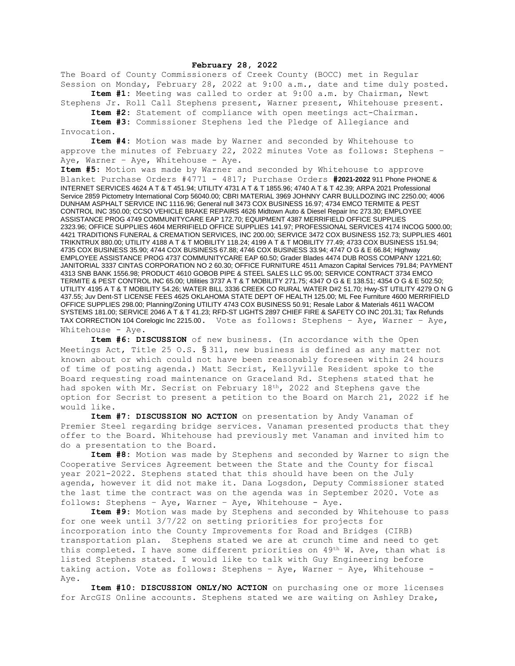## **February 28, 2022**

The Board of County Commissioners of Creek County (BOCC) met in Regular Session on Monday, February 28, 2022 at 9:00 a.m., date and time duly posted.

**Item #1:** Meeting was called to order at 9:00 a.m. by Chairman, Newt Stephens Jr. Roll Call Stephens present, Warner present, Whitehouse present.

**Item #2:** Statement of compliance with open meetings act-Chairman.

**Item #3:** Commissioner Stephens led the Pledge of Allegiance and Invocation.

**Item #4:** Motion was made by Warner and seconded by Whitehouse to approve the minutes of February 22, 2022 minutes Vote as follows: Stephens – Aye, Warner - Aye, Whitehouse - Aye.

**Item #5:** Motion was made by Warner and seconded by Whitehouse to approve Blanket Purchase Orders #4771 - 4817; Purchase Orders **#2021-2022** 911 Phone PHONE & INTERNET SERVICES 4624 A T & T 451.94; UTILITY 4731 A T & T 1855.96; 4740 A T & T 42.39; ARPA 2021 Professional Service 2859 Pictometry International Corp 56040.00; CBRI MATERIAL 3969 JOHNNY CARR BULLDOZING INC 2250.00; 4006 DUNHAM ASPHALT SERVICE INC 1116.96; General null 3473 COX BUSINESS 16.97; 4734 EMCO TERMITE & PEST CONTROL INC 350.00; CCSO VEHICLE BRAKE REPAIRS 4626 Midtown Auto & Diesel Repair Inc 273.30; EMPLOYEE ASSISTANCE PROG 4749 COMMUNITYCARE EAP 172.70; EQUIPMENT 4387 MERRIFIELD OFFICE SUPPLIES 2323.96; OFFICE SUPPLIES 4604 MERRIFIELD OFFICE SUPPLIES 141.97; PROFESSIONAL SERVICES 4174 INCOG 5000.00; 4421 TRADITIONS FUNERAL & CREMATION SERVICES, INC 200.00; SERVICE 3472 COX BUSINESS 152.73; SUPPLIES 4601 TRIKNTRUX 880.00; UTILITY 4188 A T & T MOBILITY 118.24; 4199 A T & T MOBILITY 77.49; 4733 COX BUSINESS 151.94; 4735 COX BUSINESS 35.90; 4744 COX BUSINESS 67.88; 4746 COX BUSINESS 33.94; 4747 O G & E 66.84; Highway EMPLOYEE ASSISTANCE PROG 4737 COMMUNITYCARE EAP 60.50; Grader Blades 4474 DUB ROSS COMPANY 1221.60; JANITORIAL 3337 CINTAS CORPORATION NO 2 60.30; OFFICE FURNITURE 4511 Amazon Capital Services 791.84; PAYMENT 4313 SNB BANK 1556.98; PRODUCT 4610 GOBOB PIPE & STEEL SALES LLC 95.00; SERVICE CONTRACT 3734 EMCO TERMITE & PEST CONTROL INC 65.00; Utilities 3737 A T & T MOBILITY 271.75; 4347 O G & E 138.51; 4354 O G & E 502.50; UTILITY 4195 A T & T MOBILITY 54.26; WATER BILL 3336 CREEK CO RURAL WATER D#2 51.70; Hwy-ST UTILITY 4279 O N G 437.55; Juv Dent-ST LICENSE FEES 4625 OKLAHOMA STATE DEPT OF HEALTH 125.00; ML Fee Furniture 4600 MERRIFIELD OFFICE SUPPLIES 298.00; Planning/Zoning UTILITY 4743 COX BUSINESS 50.91; Resale Labor & Materials 4611 WACOM SYSTEMS 181.00; SERVICE 2046 A T & T 41.23; RFD-ST LIGHTS 2897 CHIEF FIRE & SAFETY CO INC 201.31; Tax Refunds TAX CORRECTION 104 Corelogic Inc 2215.00. Vote as follows: Stephens – Aye, Warner – Aye, Whitehouse - Aye.

**Item #6: DISCUSSION** of new business. (In accordance with the Open Meetings Act, Title 25 O.S. § 311, new business is defined as any matter not known about or which could not have been reasonably foreseen within 24 hours of time of posting agenda.) Matt Secrist, Kellyville Resident spoke to the Board requesting road maintenance on Graceland Rd. Stephens stated that he had spoken with Mr. Secrist on February 18th, 2022 and Stephens gave the option for Secrist to present a petition to the Board on March 21, 2022 if he would like.

**Item #7: DISCUSSION NO ACTION** on presentation by Andy Vanaman of Premier Steel regarding bridge services. Vanaman presented products that they offer to the Board. Whitehouse had previously met Vanaman and invited him to do a presentation to the Board.

**Item #8:** Motion was made by Stephens and seconded by Warner to sign the Cooperative Services Agreement between the State and the County for fiscal year 2021-2022. Stephens stated that this should have been on the July agenda, however it did not make it. Dana Logsdon, Deputy Commissioner stated the last time the contract was on the agenda was in September 2020. Vote as follows: Stephens – Aye, Warner – Aye, Whitehouse - Aye.

**Item #9:** Motion was made by Stephens and seconded by Whitehouse to pass for one week until 3/7/22 on setting priorities for projects for incorporation into the County Improvements for Road and Bridges (CIRB) transportation plan. Stephens stated we are at crunch time and need to get this completed. I have some different priorities on 49<sup>th</sup> W. Ave, than what is listed Stephens stated. I would like to talk with Guy Engineering before taking action. Vote as follows: Stephens – Aye, Warner – Aye, Whitehouse - Aye.

**Item #10: DISCUSSION ONLY/NO ACTION** on purchasing one or more licenses for ArcGIS Online accounts. Stephens stated we are waiting on Ashley Drake,